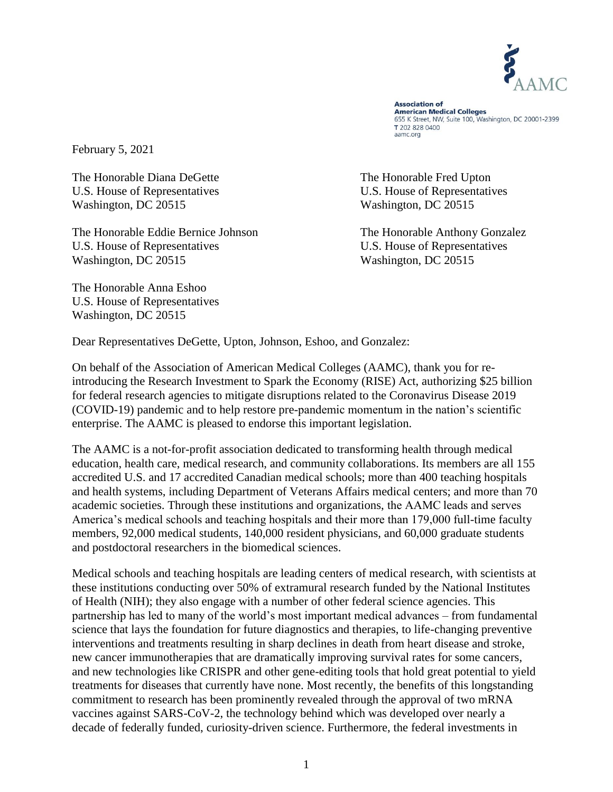

**Association of American Medical Colleges** 655 K Street, NW, Suite 100, Washington, DC 20001-2399 T 202 828 0400 aamc.org

February 5, 2021

The Honorable Diana DeGette The Honorable Fred Upton U.S. House of Representatives U.S. House of Representatives Washington, DC 20515 Washington, DC 20515

The Honorable Eddie Bernice Johnson The Honorable Anthony Gonzalez U.S. House of Representatives U.S. House of Representatives Washington, DC 20515 Washington, DC 20515

The Honorable Anna Eshoo U.S. House of Representatives Washington, DC 20515

Dear Representatives DeGette, Upton, Johnson, Eshoo, and Gonzalez:

On behalf of the Association of American Medical Colleges (AAMC), thank you for reintroducing the Research Investment to Spark the Economy (RISE) Act, authorizing \$25 billion for federal research agencies to mitigate disruptions related to the Coronavirus Disease 2019 (COVID-19) pandemic and to help restore pre-pandemic momentum in the nation's scientific enterprise. The AAMC is pleased to endorse this important legislation.

The AAMC is a not-for-profit association dedicated to transforming health through medical education, health care, medical research, and community collaborations. Its members are all 155 accredited U.S. and 17 accredited Canadian medical schools; more than 400 teaching hospitals and health systems, including Department of Veterans Affairs medical centers; and more than 70 academic societies. Through these institutions and organizations, the AAMC leads and serves America's medical schools and teaching hospitals and their more than 179,000 full-time faculty members, 92,000 medical students, 140,000 resident physicians, and 60,000 graduate students and postdoctoral researchers in the biomedical sciences.

Medical schools and teaching hospitals are leading centers of medical research, with scientists at these institutions conducting over 50% of extramural research funded by the National Institutes of Health (NIH); they also engage with a number of other federal science agencies. This partnership has led to many of the world's most important medical advances – from fundamental science that lays the foundation for future diagnostics and therapies, to life-changing preventive interventions and treatments resulting in sharp declines in death from heart disease and stroke, new cancer immunotherapies that are dramatically improving survival rates for some cancers, and new technologies like CRISPR and other gene-editing tools that hold great potential to yield treatments for diseases that currently have none. Most recently, the benefits of this longstanding commitment to research has been prominently revealed through the approval of two mRNA vaccines against SARS-CoV-2, the technology behind which was developed over nearly a decade of federally funded, curiosity-driven science. Furthermore, the federal investments in